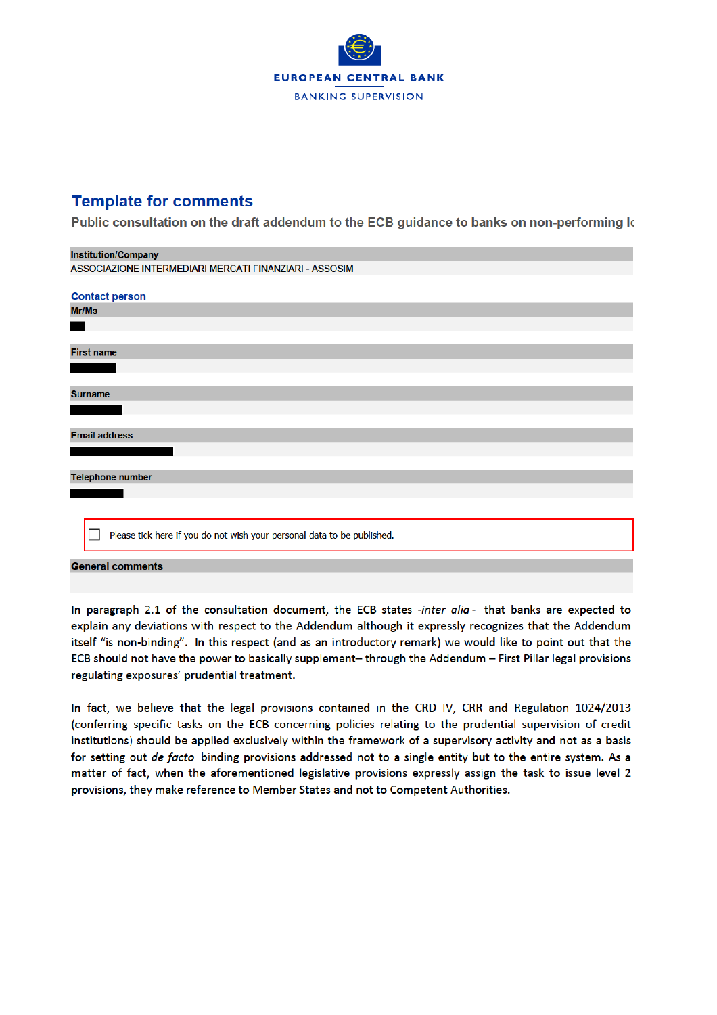

## **Template for comments**

Public consultation on the draft addendum to the ECB guidance to banks on non-performing k

| <b>Institution/Company</b>                                              |  |  |  |  |  |  |  |  |
|-------------------------------------------------------------------------|--|--|--|--|--|--|--|--|
| ASSOCIAZIONE INTERMEDIARI MERCATI FINANZIARI - ASSOSIM                  |  |  |  |  |  |  |  |  |
|                                                                         |  |  |  |  |  |  |  |  |
| <b>Contact person</b>                                                   |  |  |  |  |  |  |  |  |
| Mr/Ms                                                                   |  |  |  |  |  |  |  |  |
|                                                                         |  |  |  |  |  |  |  |  |
|                                                                         |  |  |  |  |  |  |  |  |
| <b>First name</b>                                                       |  |  |  |  |  |  |  |  |
|                                                                         |  |  |  |  |  |  |  |  |
|                                                                         |  |  |  |  |  |  |  |  |
| <b>Surname</b>                                                          |  |  |  |  |  |  |  |  |
|                                                                         |  |  |  |  |  |  |  |  |
|                                                                         |  |  |  |  |  |  |  |  |
| <b>Email address</b>                                                    |  |  |  |  |  |  |  |  |
|                                                                         |  |  |  |  |  |  |  |  |
|                                                                         |  |  |  |  |  |  |  |  |
| <b>Telephone number</b>                                                 |  |  |  |  |  |  |  |  |
|                                                                         |  |  |  |  |  |  |  |  |
|                                                                         |  |  |  |  |  |  |  |  |
|                                                                         |  |  |  |  |  |  |  |  |
| Please tick here if you do not wish your personal data to be published. |  |  |  |  |  |  |  |  |
| <b>General comments</b>                                                 |  |  |  |  |  |  |  |  |

In paragraph 2.1 of the consultation document, the ECB states -inter alia- that banks are expected to explain any deviations with respect to the Addendum although it expressly recognizes that the Addendum itself "is non-binding". In this respect (and as an introductory remark) we would like to point out that the ECB should not have the power to basically supplement- through the Addendum - First Pillar legal provisions regulating exposures' prudential treatment.

In fact, we believe that the legal provisions contained in the CRD IV, CRR and Regulation 1024/2013 (conferring specific tasks on the ECB concerning policies relating to the prudential supervision of credit institutions) should be applied exclusively within the framework of a supervisory activity and not as a basis for setting out de facto binding provisions addressed not to a single entity but to the entire system. As a matter of fact, when the aforementioned legislative provisions expressly assign the task to issue level 2 provisions, they make reference to Member States and not to Competent Authorities.